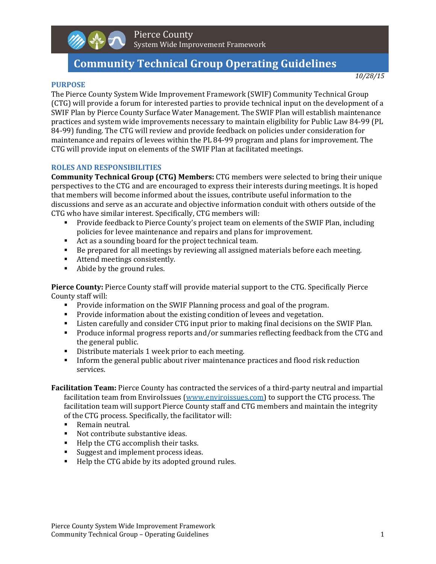## Pierce County System Wide Improvement Framework

# **Community Technical Group Operating Guidelines**

#### *10/28/15*

#### **PURPOSE**

The Pierce County System Wide Improvement Framework (SWIF) Community Technical Group (CTG) will provide a forum for interested parties to provide technical input on the development of a SWIF Plan by Pierce County Surface Water Management. The SWIF Plan will establish maintenance practices and system wide improvements necessary to maintain eligibility for Public Law 84-99 (PL 84-99) funding. The CTG will review and provide feedback on policies under consideration for maintenance and repairs of levees within the PL 84-99 program and plans for improvement. The CTG will provide input on elements of the SWIF Plan at facilitated meetings.

## **ROLES AND RESPONSIBILITIES**

**Community Technical Group (CTG) Members:** CTG members were selected to bring their unique perspectives to the CTG and are encouraged to express their interests during meetings. It is hoped that members will become informed about the issues, contribute useful information to the discussions and serve as an accurate and objective information conduit with others outside of the CTG who have similar interest. Specifically, CTG members will:

- **Provide feedback to Pierce County's project team on elements of the SWIF Plan, including** policies for levee maintenance and repairs and plans for improvement.
- Act as a sounding board for the project technical team.
- Be prepared for all meetings by reviewing all assigned materials before each meeting.
- **Attend meetings consistently.**
- Abide by the ground rules.

**Pierce County:** Pierce County staff will provide material support to the CTG. Specifically Pierce County staff will:

- **Provide information on the SWIF Planning process and goal of the program.**
- Provide information about the existing condition of levees and vegetation.
- I Listen carefully and consider CTG input prior to making final decisions on the SWIF Plan.
- **Produce informal progress reports and/or summaries reflecting feedback from the CTG and** the general public.
- Distribute materials 1 week prior to each meeting.
- Inform the general public about river maintenance practices and flood risk reduction services.

**Facilitation Team:** Pierce County has contracted the services of a third-party neutral and impartial facilitation team from EnviroIssues (www.enviroissues.com) to support the CTG process. The facilitation team will support Pierce County staff and CTG members and maintain the integrity of the CTG process. Specifically, the facilitator will:

- Remain neutral.
- Not contribute substantive ideas.
- Help the CTG accomplish their tasks.
- Suggest and implement process ideas.
- Help the CTG abide by its adopted ground rules.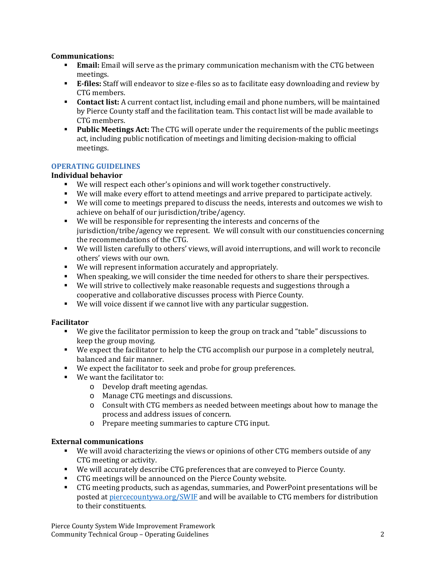## **Communications:**

- **Email:** Email will serve as the primary communication mechanism with the CTG between meetings.
- **E**-files: Staff will endeavor to size e-files so as to facilitate easy downloading and review by CTG members.
- **Contact list:** A current contact list, including email and phone numbers, will be maintained by Pierce County staff and the facilitation team. This contact list will be made available to CTG members.
- **Public Meetings Act:** The CTG will operate under the requirements of the public meetings act, including public notification of meetings and limiting decision-making to official meetings.

## **OPERATING GUIDELINES**

## **Individual behavior**

- We will respect each other's opinions and will work together constructively.
- We will make every effort to attend meetings and arrive prepared to participate actively.
- We will come to meetings prepared to discuss the needs, interests and outcomes we wish to achieve on behalf of our jurisdiction/tribe/agency.
- We will be responsible for representing the interests and concerns of the jurisdiction/tribe/agency we represent. We will consult with our constituencies concerning the recommendations of the CTG.
- We will listen carefully to others' views, will avoid interruptions, and will work to reconcile others' views with our own.
- We will represent information accurately and appropriately.
- When speaking, we will consider the time needed for others to share their perspectives.
- We will strive to collectively make reasonable requests and suggestions through a cooperative and collaborative discusses process with Pierce County.
- We will voice dissent if we cannot live with any particular suggestion.

## **Facilitator**

- We give the facilitator permission to keep the group on track and "table" discussions to keep the group moving.
- We expect the facilitator to help the CTG accomplish our purpose in a completely neutral, balanced and fair manner.
- We expect the facilitator to seek and probe for group preferences.
- We want the facilitator to:
	- $\circ$  Develop draft meeting agendas.
	- o Manage CTG meetings and discussions.
	- $\circ$  Consult with CTG members as needed between meetings about how to manage the process and address issues of concern.
	- o Prepare meeting summaries to capture CTG input.

## **External communications**

- We will avoid characterizing the views or opinions of other CTG members outside of any CTG meeting or activity.
- **We** will accurately describe CTG preferences that are conveyed to Pierce County.
- **EXECTG** meetings will be announced on the Pierce County website.
- **F** CTG meeting products, such as agendas, summaries, and PowerPoint presentations will be posted at piercecountywa.org/SWIF and will be available to CTG members for distribution to their constituents.

Pierce County System Wide Improvement Framework Community Technical Group – Operating Guidelines 2